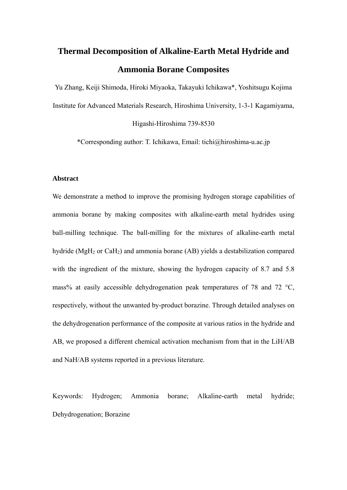# **Thermal Decomposition of Alkaline-Earth Metal Hydride and Ammonia Borane Composites**

Yu Zhang, Keiji Shimoda, Hiroki Miyaoka, Takayuki Ichikawa\*, Yoshitsugu Kojima Institute for Advanced Materials Research, Hiroshima University, 1-3-1 Kagamiyama,

Higashi-Hiroshima 739-8530

\*Corresponding author: T. Ichikawa, Email: tichi@hiroshima-u.ac.jp

## **Abstract**

We demonstrate a method to improve the promising hydrogen storage capabilities of ammonia borane by making composites with alkaline-earth metal hydrides using ball-milling technique. The ball-milling for the mixtures of alkaline-earth metal hydride (MgH2 or CaH2) and ammonia borane (AB) yields a destabilization compared with the ingredient of the mixture, showing the hydrogen capacity of 8.7 and 5.8 mass% at easily accessible dehydrogenation peak temperatures of 78 and 72  $^{\circ}$ C, respectively, without the unwanted by-product borazine. Through detailed analyses on the dehydrogenation performance of the composite at various ratios in the hydride and AB, we proposed a different chemical activation mechanism from that in the LiH/AB and NaH/AB systems reported in a previous literature.

Keywords: Hydrogen; Ammonia borane; Alkaline-earth metal hydride; Dehydrogenation; Borazine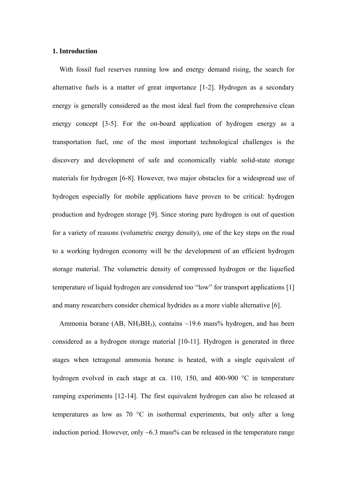## **1. Introduction**

With fossil fuel reserves running low and energy demand rising, the search for alternative fuels is a matter of great importance [1-2]. Hydrogen as a secondary energy is generally considered as the most ideal fuel from the comprehensive clean energy concept [3-5]. For the on-board application of hydrogen energy as a transportation fuel, one of the most important technological challenges is the discovery and development of safe and economically viable solid-state storage materials for hydrogen [6-8]. However, two major obstacles for a widespread use of hydrogen especially for mobile applications have proven to be critical: hydrogen production and hydrogen storage [9]. Since storing pure hydrogen is out of question for a variety of reasons (volumetric energy density), one of the key steps on the road to a working hydrogen economy will be the development of an efficient hydrogen storage material. The volumetric density of compressed hydrogen or the liquefied temperature of liquid hydrogen are considered too "low" for transport applications [1] and many researchers consider chemical hydrides as a more viable alternative [6].

Ammonia borane (AB, NH<sub>3</sub>BH<sub>3</sub>), contains  $\sim$ 19.6 mass% hydrogen, and has been considered as a hydrogen storage material [10-11]. Hydrogen is generated in three stages when tetragonal ammonia borane is heated, with a single equivalent of hydrogen evolved in each stage at ca. 110, 150, and 400-900 °C in temperature ramping experiments [12-14]. The first equivalent hydrogen can also be released at temperatures as low as 70 °C in isothermal experiments, but only after a long induction period. However, only  $\sim 6.3$  mass% can be released in the temperature range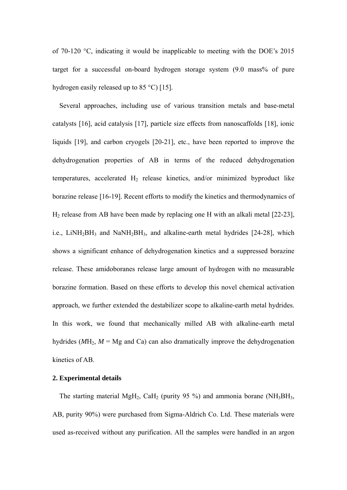of 70-120 °C, indicating it would be inapplicable to meeting with the DOE's 2015 target for a successful on-board hydrogen storage system (9.0 mass% of pure hydrogen easily released up to 85 °C) [15].

Several approaches, including use of various transition metals and base-metal catalysts [16], acid catalysis [17], particle size effects from nanoscaffolds [18], ionic liquids [19], and carbon cryogels [20-21], etc., have been reported to improve the dehydrogenation properties of AB in terms of the reduced dehydrogenation temperatures, accelerated  $H_2$  release kinetics, and/or minimized byproduct like borazine release [16-19]. Recent efforts to modify the kinetics and thermodynamics of H2 release from AB have been made by replacing one H with an alkali metal [22-23], i.e., LiNH<sub>2</sub>BH<sub>3</sub> and NaNH<sub>2</sub>BH<sub>3</sub>, and alkaline-earth metal hydrides [24-28], which shows a significant enhance of dehydrogenation kinetics and a suppressed borazine release. These amidoboranes release large amount of hydrogen with no measurable borazine formation. Based on these efforts to develop this novel chemical activation approach, we further extended the destabilizer scope to alkaline-earth metal hydrides. In this work, we found that mechanically milled AB with alkaline-earth metal hydrides ( $M$ H<sub>2</sub>,  $M$  = Mg and Ca) can also dramatically improve the dehydrogenation kinetics of AB.

## **2. Experimental details**

The starting material MgH<sub>2</sub>, CaH<sub>2</sub> (purity 95 %) and ammonia borane (NH<sub>3</sub>BH<sub>3</sub>, AB, purity 90%) were purchased from Sigma-Aldrich Co. Ltd. These materials were used as-received without any purification. All the samples were handled in an argon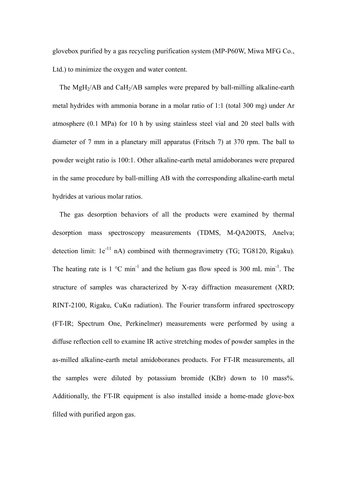glovebox purified by a gas recycling purification system (MP-P60W, Miwa MFG Co., Ltd.) to minimize the oxygen and water content.

The MgH<sub>2</sub>/AB and CaH<sub>2</sub>/AB samples were prepared by ball-milling alkaline-earth metal hydrides with ammonia borane in a molar ratio of 1:1 (total 300 mg) under Ar atmosphere (0.1 MPa) for 10 h by using stainless steel vial and 20 steel balls with diameter of 7 mm in a planetary mill apparatus (Fritsch 7) at 370 rpm. The ball to powder weight ratio is 100:1. Other alkaline-earth metal amidoboranes were prepared in the same procedure by ball-milling AB with the corresponding alkaline-earth metal hydrides at various molar ratios.

The gas desorption behaviors of all the products were examined by thermal desorption mass spectroscopy measurements (TDMS, M-QA200TS, Anelva; detection limit:  $1e^{-11}$  nA) combined with thermogravimetry (TG; TG8120, Rigaku). The heating rate is  $1 \text{ °C min}^{-1}$  and the helium gas flow speed is 300 mL min<sup>-1</sup>. The structure of samples was characterized by X-ray diffraction measurement (XRD; RINT-2100, Rigaku, CuKα radiation). The Fourier transform infrared spectroscopy (FT-IR; Spectrum One, Perkinelmer) measurements were performed by using a diffuse reflection cell to examine IR active stretching modes of powder samples in the as-milled alkaline-earth metal amidoboranes products. For FT-IR measurements, all the samples were diluted by potassium bromide (KBr) down to 10 mass%. Additionally, the FT-IR equipment is also installed inside a home-made glove-box filled with purified argon gas.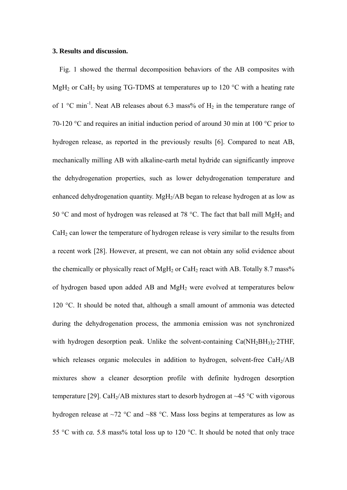## **3. Results and discussion.**

Fig. 1 showed the thermal decomposition behaviors of the AB composites with MgH<sub>2</sub> or CaH<sub>2</sub> by using TG-TDMS at temperatures up to 120  $^{\circ}$ C with a heating rate of 1  $^{\circ}$ C min<sup>-1</sup>. Neat AB releases about 6.3 mass% of H<sub>2</sub> in the temperature range of 70-120 °C and requires an initial induction period of around 30 min at 100 °C prior to hydrogen release, as reported in the previously results [6]. Compared to neat AB, mechanically milling AB with alkaline-earth metal hydride can significantly improve the dehydrogenation properties, such as lower dehydrogenation temperature and enhanced dehydrogenation quantity. MgH<sub>2</sub>/AB began to release hydrogen at as low as 50 °C and most of hydrogen was released at 78 °C. The fact that ball mill MgH<sub>2</sub> and CaH<sub>2</sub> can lower the temperature of hydrogen release is very similar to the results from a recent work [28]. However, at present, we can not obtain any solid evidence about the chemically or physically react of  $MgH_2$  or CaH<sub>2</sub> react with AB. Totally 8.7 mass% of hydrogen based upon added AB and MgH2 were evolved at temperatures below 120 °C. It should be noted that, although a small amount of ammonia was detected during the dehydrogenation process, the ammonia emission was not synchronized with hydrogen desorption peak. Unlike the solvent-containing  $Ca(NH<sub>2</sub>BH<sub>3</sub>)<sub>2</sub>$ . 2THF, which releases organic molecules in addition to hydrogen, solvent-free CaH<sub>2</sub>/AB mixtures show a cleaner desorption profile with definite hydrogen desorption temperature [29]. CaH<sub>2</sub>/AB mixtures start to desorb hydrogen at  $\sim$ 45 °C with vigorous hydrogen release at ~72 °C and ~88 °C. Mass loss begins at temperatures as low as 55 °C with *ca.* 5.8 mass% total loss up to 120 °C. It should be noted that only trace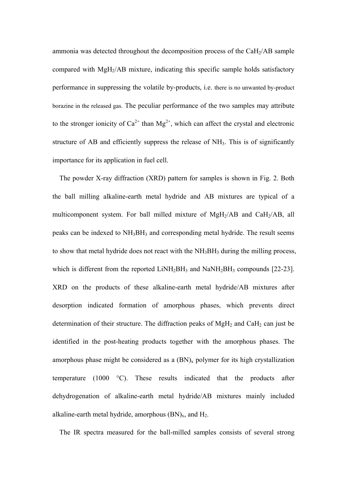ammonia was detected throughout the decomposition process of the CaH2/AB sample compared with MgH2/AB mixture, indicating this specific sample holds satisfactory performance in suppressing the volatile by-products, i.e. there is no unwanted by-product borazine in the released gas. The peculiar performance of the two samples may attribute to the stronger ionicity of  $Ca^{2+}$  than  $Mg^{2+}$ , which can affect the crystal and electronic structure of AB and efficiently suppress the release of NH<sub>3</sub>. This is of significantly importance for its application in fuel cell.

The powder X-ray diffraction (XRD) pattern for samples is shown in Fig. 2. Both the ball milling alkaline-earth metal hydride and AB mixtures are typical of a multicomponent system. For ball milled mixture of MgH2/AB and CaH2/AB, all peaks can be indexed to NH3BH3 and corresponding metal hydride. The result seems to show that metal hydride does not react with the NH<sub>3</sub>BH<sub>3</sub> during the milling process, which is different from the reported  $LiNH<sub>2</sub>BH<sub>3</sub>$  and  $NaNH<sub>2</sub>BH<sub>3</sub>$  compounds [22-23]. XRD on the products of these alkaline-earth metal hydride/AB mixtures after desorption indicated formation of amorphous phases, which prevents direct determination of their structure. The diffraction peaks of  $MgH_2$  and CaH<sub>2</sub> can just be identified in the post-heating products together with the amorphous phases. The amorphous phase might be considered as a  $(BN)_x$  polymer for its high crystallization temperature (1000 °C). These results indicated that the products after dehydrogenation of alkaline-earth metal hydride/AB mixtures mainly included alkaline-earth metal hydride, amorphous  $(BN)_x$ , and  $H_2$ .

The IR spectra measured for the ball-milled samples consists of several strong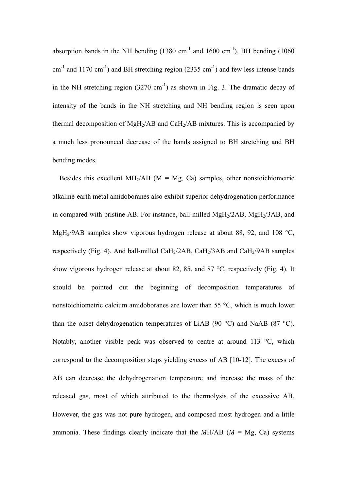absorption bands in the NH bending  $(1380 \text{ cm}^{-1} \text{ and } 1600 \text{ cm}^{-1})$ , BH bending  $(1060 \text{ m}^{-1} \text{)}$  $\text{cm}^{-1}$  and 1170 cm<sup>-1</sup>) and BH stretching region (2335 cm<sup>-1</sup>) and few less intense bands in the NH stretching region  $(3270 \text{ cm}^{-1})$  as shown in Fig. 3. The dramatic decay of intensity of the bands in the NH stretching and NH bending region is seen upon thermal decomposition of MgH<sub>2</sub>/AB and CaH<sub>2</sub>/AB mixtures. This is accompanied by a much less pronounced decrease of the bands assigned to BH stretching and BH bending modes.

Besides this excellent MH<sub>2</sub>/AB ( $M = Mg$ , Ca) samples, other nonstoichiometric alkaline-earth metal amidoboranes also exhibit superior dehydrogenation performance in compared with pristine AB. For instance, ball-milled  $MgH<sub>2</sub>/2AB$ ,  $MgH<sub>2</sub>/3AB$ , and MgH<sub>2</sub>/9AB samples show vigorous hydrogen release at about 88, 92, and 108  $^{\circ}C$ , respectively (Fig. 4). And ball-milled CaH $_2$ /2AB, CaH $_2$ /3AB and CaH $_2$ /9AB samples show vigorous hydrogen release at about 82, 85, and 87 °C, respectively (Fig. 4). It should be pointed out the beginning of decomposition temperatures of nonstoichiometric calcium amidoboranes are lower than 55 °C, which is much lower than the onset dehydrogenation temperatures of LiAB (90  $^{\circ}$ C) and NaAB (87  $^{\circ}$ C). Notably, another visible peak was observed to centre at around 113 °C, which correspond to the decomposition steps yielding excess of AB [10-12]. The excess of AB can decrease the dehydrogenation temperature and increase the mass of the released gas, most of which attributed to the thermolysis of the excessive AB. However, the gas was not pure hydrogen, and composed most hydrogen and a little ammonia. These findings clearly indicate that the  $M H/AB$  ( $M = Mg$ , Ca) systems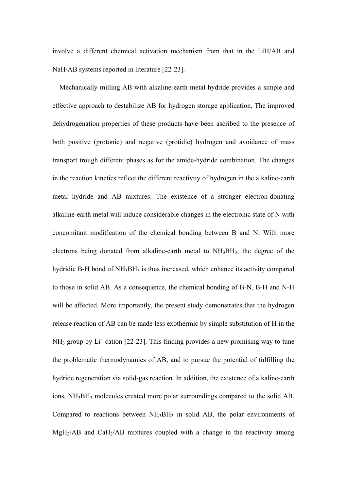involve a different chemical activation mechanism from that in the LiH/AB and NaH/AB systems reported in literature [22-23].

Mechanically milling AB with alkaline-earth metal hydride provides a simple and effective approach to destabilize AB for hydrogen storage application. The improved dehydrogenation properties of these products have been ascribed to the presence of both positive (protonic) and negative (protidic) hydrogen and avoidance of mass transport trough different phases as for the amide-hydride combination. The changes in the reaction kinetics reflect the different reactivity of hydrogen in the alkaline-earth metal hydride and AB mixtures. The existence of a stronger electron-donating alkaline-earth metal will induce considerable changes in the electronic state of N with concomitant modification of the chemical bonding between B and N. With more electrons being donated from alkaline-earth metal to  $NH<sub>3</sub>BH<sub>3</sub>$ , the degree of the hydridic B-H bond of NH<sub>3</sub>BH<sub>3</sub> is thus increased, which enhance its activity compared to those in solid AB. As a consequence, the chemical bonding of B-N, B-H and N-H will be affected. More importantly, the present study demonstrates that the hydrogen release reaction of AB can be made less exothermic by simple substitution of H in the  $NH<sub>3</sub>$  group by  $Li<sup>+</sup>$  cation [22-23]. This finding provides a new promising way to tune the problematic thermodynamics of AB, and to pursue the potential of fulfilling the hydride regeneration via solid-gas reaction. In addition, the existence of alkaline-earth ions, NH3BH3 molecules created more polar surroundings compared to the solid AB. Compared to reactions between  $NH<sub>3</sub>BH<sub>3</sub>$  in solid AB, the polar environments of  $MgH<sub>2</sub>/AB$  and CaH<sub>2</sub>/AB mixtures coupled with a change in the reactivity among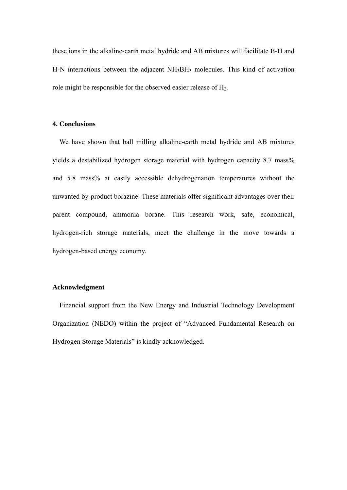these ions in the alkaline-earth metal hydride and AB mixtures will facilitate B-H and H-N interactions between the adjacent NH3BH3 molecules. This kind of activation role might be responsible for the observed easier release of H2.

#### **4. Conclusions**

We have shown that ball milling alkaline-earth metal hydride and AB mixtures yields a destabilized hydrogen storage material with hydrogen capacity 8.7 mass% and 5.8 mass% at easily accessible dehydrogenation temperatures without the unwanted by-product borazine. These materials offer significant advantages over their parent compound, ammonia borane. This research work, safe, economical, hydrogen-rich storage materials, meet the challenge in the move towards a hydrogen-based energy economy.

#### **Acknowledgment**

Financial support from the New Energy and Industrial Technology Development Organization (NEDO) within the project of "Advanced Fundamental Research on Hydrogen Storage Materials" is kindly acknowledged.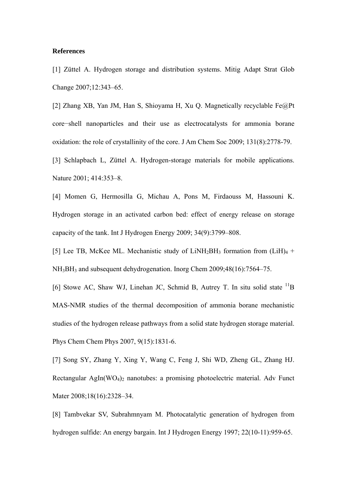# **References**

[1] Züttel A. Hydrogen storage and distribution systems. Mitig Adapt Strat Glob Change 2007;12:343–65.

[2] Zhang XB, Yan JM, Han S, Shioyama H, Xu Q. Magnetically recyclable Fe@Pt core−shell nanoparticles and their use as electrocatalysts for ammonia borane oxidation: the role of crystallinity of the core. J Am Chem Soc 2009; 131(8):2778-79.

[3] Schlapbach L, Züttel A. Hydrogen-storage materials for mobile applications. Nature 2001; 414:353–8.

[4] Momen G, Hermosilla G, Michau A, Pons M, Firdaouss M, Hassouni K. Hydrogen storage in an activated carbon bed: effect of energy release on storage capacity of the tank. Int J Hydrogen Energy 2009; 34(9):3799–808.

[5] Lee TB, McKee ML. Mechanistic study of LiNH<sub>2</sub>BH<sub>3</sub> formation from  $(LiH)_4$  + NH3BH3 and subsequent dehydrogenation. Inorg Chem 2009;48(16):7564–75.

[6] Stowe AC, Shaw WJ, Linehan JC, Schmid B, Autrey T. In situ solid state  ${}^{11}B$ MAS-NMR studies of the thermal decomposition of ammonia borane mechanistic studies of the hydrogen release pathways from a solid state hydrogen storage material. Phys Chem Chem Phys 2007, 9(15):1831-6.

[7] Song SY, Zhang Y, Xing Y, Wang C, Feng J, Shi WD, Zheng GL, Zhang HJ. Rectangular AgIn( $WO<sub>4</sub>$ )<sub>2</sub> nanotubes: a promising photoelectric material. Adv Funct Mater 2008;18(16):2328-34.

[8] Tambvekar SV, Subrahmnyam M. Photocatalytic generation of hydrogen from hydrogen sulfide: An energy bargain. Int J Hydrogen Energy 1997; 22(10-11):959-65.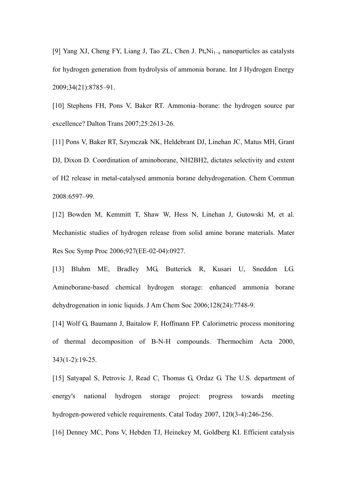[9] Yang XJ, Cheng FY, Liang J, Tao ZL, Chen J. Pt*x*Ni1−*x* nanoparticles as catalysts for hydrogen generation from hydrolysis of ammonia borane. Int J Hydrogen Energy 2009;34(21):8785–91.

[10] Stephens FH, Pons V, Baker RT. Ammonia–borane: the hydrogen source par excellence? Dalton Trans 2007;25:2613-26.

[11] Pons V, Baker RT, Szymczak NK, Heldebrant DJ, Linehan JC, Matus MH, Grant DJ, Dixon D. Coordination of aminoborane, NH2BH2, dictates selectivity and extent of H2 release in metal-catalysed ammonia borane dehydrogenation. Chem Commun 2008:6597–99.

[12] Bowden M, Kemmitt T, Shaw W, Hess N, Linehan J, Gutowski M, et al. Mechanistic studies of hydrogen release from solid amine borane materials. Mater Res Soc Symp Proc 2006;927(EE-02-04):0927.

[13] Bluhm ME, Bradley MG, Butterick R, Kusari U, Sneddon LG. Amineborane-based chemical hydrogen storage: enhanced ammonia borane dehydrogenation in ionic liquids. J Am Chem Soc 2006;128(24):7748-9.

[14] Wolf G, Baumann J, Baitalow F, Hoffmann FP. Calorimetric process monitoring of thermal decomposition of B-N-H compounds. Thermochim Acta 2000, 343(1-2):19-25.

[15] Satyapal S, Petrovic J, Read C, Thomas G, Ordaz G. The U.S. department of energy's national hydrogen storage project: progress towards meeting hydrogen-powered vehicle requirements. Catal Today 2007, 120(3-4):246-256.

[16] Denney MC, Pons V, Hebden TJ, Heinekey M, Goldberg KI. Efficient catalysis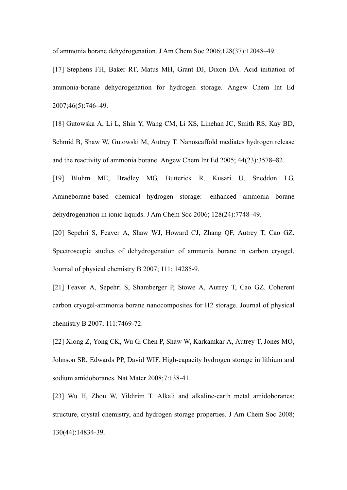of ammonia borane dehydrogenation. J Am Chem Soc 2006;128(37):12048–49.

[17] Stephens FH, Baker RT, Matus MH, Grant DJ, Dixon DA. Acid initiation of ammonia-borane dehydrogenation for hydrogen storage. Angew Chem Int Ed 2007;46(5):746–49.

[18] Gutowska A, Li L, Shin Y, Wang CM, Li XS, Linehan JC, Smith RS, Kay BD, Schmid B, Shaw W, Gutowski M, Autrey T. Nanoscaffold mediates hydrogen release and the reactivity of ammonia borane. Angew Chem Int Ed 2005; 44(23):3578–82.

[19] Bluhm ME, Bradley MG, Butterick R, Kusari U, Sneddon LG. Amineborane-based chemical hydrogen storage: enhanced ammonia borane dehydrogenation in ionic liquids. J Am Chem Soc 2006; 128(24):7748–49.

[20] Sepehri S, Feaver A, Shaw WJ, Howard CJ, Zhang QF, Autrey T, Cao GZ. Spectroscopic studies of dehydrogenation of ammonia borane in carbon cryogel. Journal of physical chemistry B 2007; 111: 14285-9.

[21] Feaver A, Sepehri S, Shamberger P, Stowe A, Autrey T, Cao GZ. Coherent carbon cryogel-ammonia borane nanocomposites for H2 storage. Journal of physical chemistry B 2007; 111:7469-72.

[22] Xiong Z, Yong CK, Wu G, Chen P, Shaw W, Karkamkar A, Autrey T, Jones MO, Johnson SR, Edwards PP, David WIF. High-capacity hydrogen storage in lithium and sodium amidoboranes. Nat Mater 2008;7:138-41.

[23] Wu H, Zhou W, Yildirim T. Alkali and alkaline-earth metal amidoboranes: structure, crystal chemistry, and hydrogen storage properties. J Am Chem Soc 2008; 130(44):14834-39.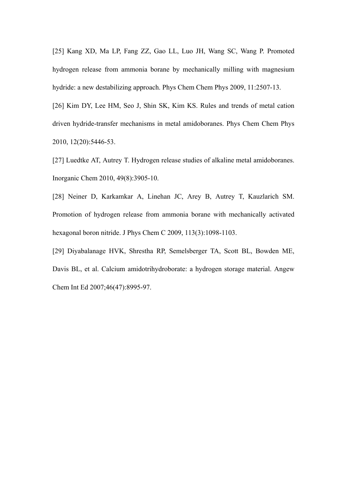[25] Kang XD, Ma LP, Fang ZZ, Gao LL, Luo JH, Wang SC, Wang P. Promoted hydrogen release from ammonia borane by mechanically milling with magnesium hydride: a new destabilizing approach. Phys Chem Chem Phys 2009, 11:2507-13.

[26] Kim DY, Lee HM, Seo J, Shin SK, Kim KS. Rules and trends of metal cation driven hydride-transfer mechanisms in metal amidoboranes. Phys Chem Chem Phys 2010, 12(20):5446-53.

[27] Luedtke AT, Autrey T. Hydrogen release studies of alkaline metal amidoboranes. Inorganic Chem 2010, 49(8):3905-10.

[28] Neiner D, Karkamkar A, Linehan JC, Arey B, Autrey T, Kauzlarich SM. Promotion of hydrogen release from ammonia borane with mechanically activated hexagonal boron nitride. J Phys Chem C 2009, 113(3):1098-1103.

[29] Diyabalanage HVK, Shrestha RP, Semelsberger TA, Scott BL, Bowden ME, Davis BL, et al. Calcium amidotrihydroborate: a hydrogen storage material. Angew Chem Int Ed 2007;46(47):8995-97.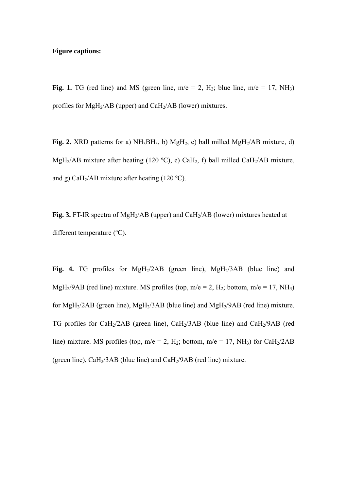# **Figure captions:**

**Fig. 1.** TG (red line) and MS (green line,  $m/e = 2$ ,  $H_2$ ; blue line,  $m/e = 17$ ,  $NH_3$ ) profiles for MgH<sub>2</sub>/AB (upper) and CaH<sub>2</sub>/AB (lower) mixtures.

**Fig. 2.** XRD patterns for a)  $NH<sub>3</sub>BH<sub>3</sub>$ , b) MgH<sub>2</sub>, c) ball milled MgH<sub>2</sub>/AB mixture, d) MgH<sub>2</sub>/AB mixture after heating (120 °C), e) CaH<sub>2</sub>, f) ball milled CaH<sub>2</sub>/AB mixture, and g) CaH<sub>2</sub>/AB mixture after heating (120 °C).

**Fig. 3.** FT-IR spectra of MgH<sub>2</sub>/AB (upper) and CaH<sub>2</sub>/AB (lower) mixtures heated at different temperature (ºC).

Fig. 4. TG profiles for MgH<sub>2</sub>/2AB (green line), MgH<sub>2</sub>/3AB (blue line) and MgH<sub>2</sub>/9AB (red line) mixture. MS profiles (top, m/e = 2, H<sub>2</sub>; bottom, m/e = 17, NH<sub>3</sub>) for MgH<sub>2</sub>/2AB (green line), MgH<sub>2</sub>/3AB (blue line) and MgH<sub>2</sub>/9AB (red line) mixture. TG profiles for CaH2/2AB (green line), CaH2/3AB (blue line) and CaH2/9AB (red line) mixture. MS profiles (top,  $m/e = 2$ , H<sub>2</sub>; bottom,  $m/e = 17$ , NH<sub>3</sub>) for CaH<sub>2</sub>/2AB (green line),  $CaH<sub>2</sub>/3AB$  (blue line) and  $CaH<sub>2</sub>/9AB$  (red line) mixture.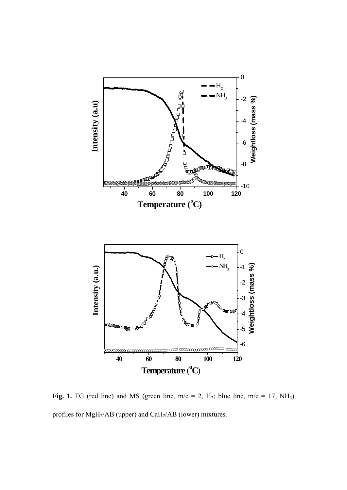

**Fig. 1.** TG (red line) and MS (green line,  $m/e = 2$ ,  $H_2$ ; blue line,  $m/e = 17$ ,  $NH_3$ ) profiles for MgH2/AB (upper) and CaH2/AB (lower) mixtures.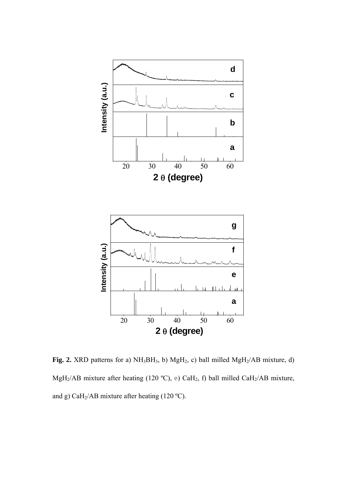

**Fig. 2.** XRD patterns for a)  $NH<sub>3</sub>BH<sub>3</sub>$ , b)  $MgH<sub>2</sub>$ , c) ball milled  $MgH<sub>2</sub>/AB$  mixture, d) MgH<sub>2</sub>/AB mixture after heating (120 °C), e) CaH<sub>2</sub>, f) ball milled CaH<sub>2</sub>/AB mixture, and g) CaH2/AB mixture after heating (120 ºC).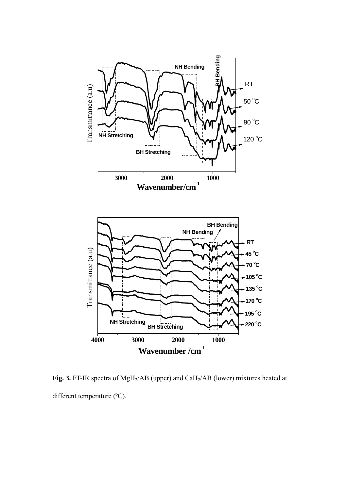

Fig. 3. FT-IR spectra of MgH<sub>2</sub>/AB (upper) and CaH<sub>2</sub>/AB (lower) mixtures heated at different temperature (ºC).